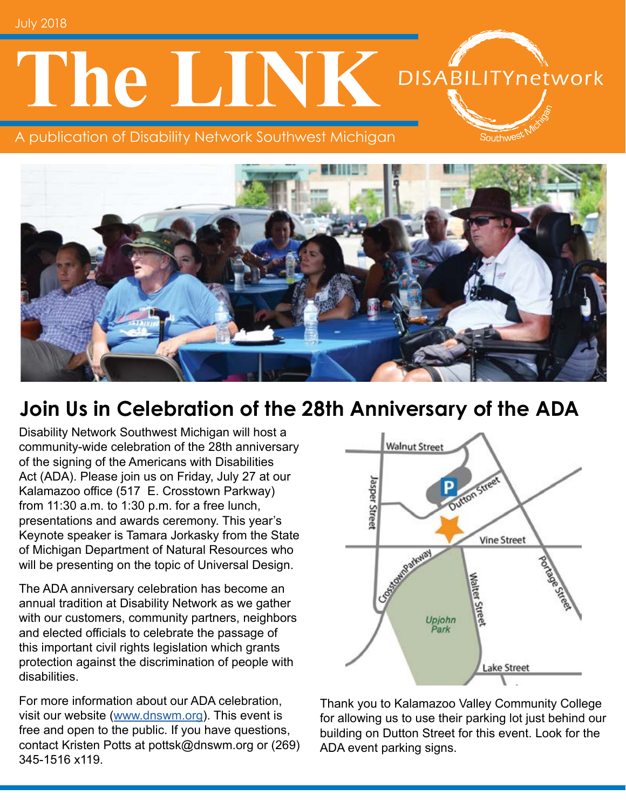July 2018

# **The LINK** DISABILITYnetwork

A publication of Disability Network Southwest Michigan



## **Join Us in Celebration of the 28th Anniversary of the ADA**

Disability Network Southwest Michigan will host a community-wide celebration of the 28th anniversary of the signing of the Americans with Disabilities Act (ADA). Please join us on Friday, July 27 at our Kalamazoo office (517 E. Crosstown Parkway) from 11:30 a.m. to 1:30 p.m. for a free lunch, presentations and awards ceremony. This year's Keynote speaker is Tamara Jorkasky from the State of Michigan Department of Natural Resources who will be presenting on the topic of Universal Design.

The ADA anniversary celebration has become an annual tradition at Disability Network as we gather with our customers, community partners, neighbors and elected officials to celebrate the passage of this important civil rights legislation which grants protection against the discrimination of people with disabilities.

For more information about our ADA celebration, visit our website [\(www.dnswm.org](http://www.dnswm.org/celebrating-28th-anniversary-of-the-ada/)). This event is free and open to the public. If you have questions, contact Kristen Potts at pottsk@dnswm.org or (269) 345-1516 x119.



Southwe<sup>e</sup>

Thank you to Kalamazoo Valley Community College for allowing us to use their parking lot just behind our building on Dutton Street for this event. Look for the ADA event parking signs.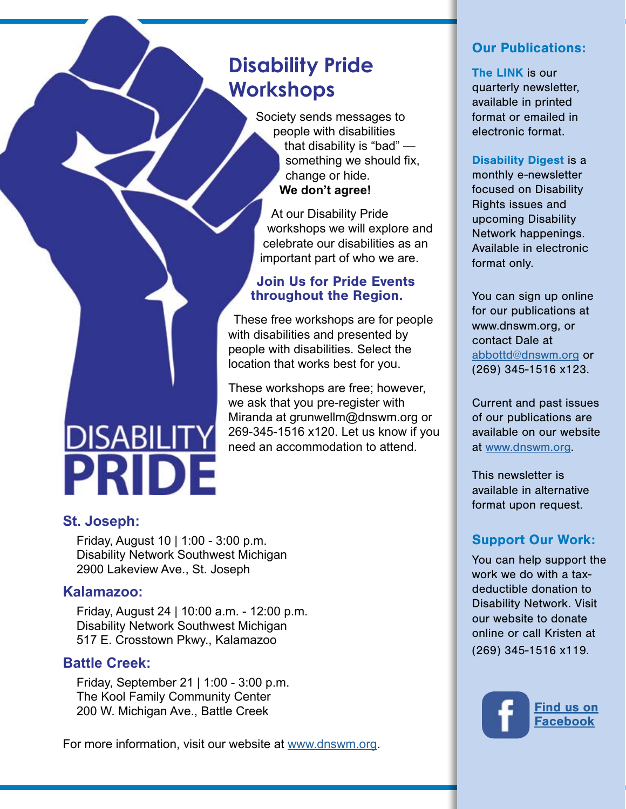## **Disability Pride Workshops**

Society sends messages to people with disabilities that disability is "bad" something we should fix, change or hide. **We don't agree!** 

At our Disability Pride workshops we will explore and celebrate our disabilities as an important part of who we are.

#### Join Us for Pride Events throughout the Region.

These free workshops are for people with disabilities and presented by people with disabilities. Select the location that works best for you.

These workshops are free; however, we ask that you pre-register with Miranda at grunwellm@dnswm.org or 269-345-1516 x120. Let us know if you need an accommodation to attend.

#### **St. Joseph:**

DISABILITY<br>PRIDE

Friday, August 10 | 1:00 - 3:00 p.m. Disability Network Southwest Michigan 2900 Lakeview Ave., St. Joseph

#### **Kalamazoo:**

Friday, August 24 | 10:00 a.m. - 12:00 p.m. Disability Network Southwest Michigan 517 E. Crosstown Pkwy., Kalamazoo

#### **Battle Creek:**

Friday, September 21 | 1:00 - 3:00 p.m. The Kool Family Community Center 200 W. Michigan Ave., Battle Creek

For more information, visit our website at [www.dnswm.org.](http://www.dnswm.org/disability-pride-2018/)

#### Our Publications:

The LINK is our quarterly newsletter, available in printed format or emailed in electronic format.

Disability Digest is a

monthly e-newsletter focused on Disability Rights issues and upcoming Disability Network happenings. Available in electronic format only.

You can sign up online for our publications at www.dnswm.org, or contact Dale at [abbottd@dnswm.org](mailto:abbottd%40dnswm.org?subject=) or (269) 345-1516 x123.

Current and past issues of our publications are available on our website at [www.dnswm.org.](http://www.dnswm.org/)

This newsletter is available in alternative format upon request.

#### Support Our Work:

You can help support the work we do with a taxdeductible donation to Disability Network. Visit our website to donate online or call Kristen at (269) 345-1516 x119.

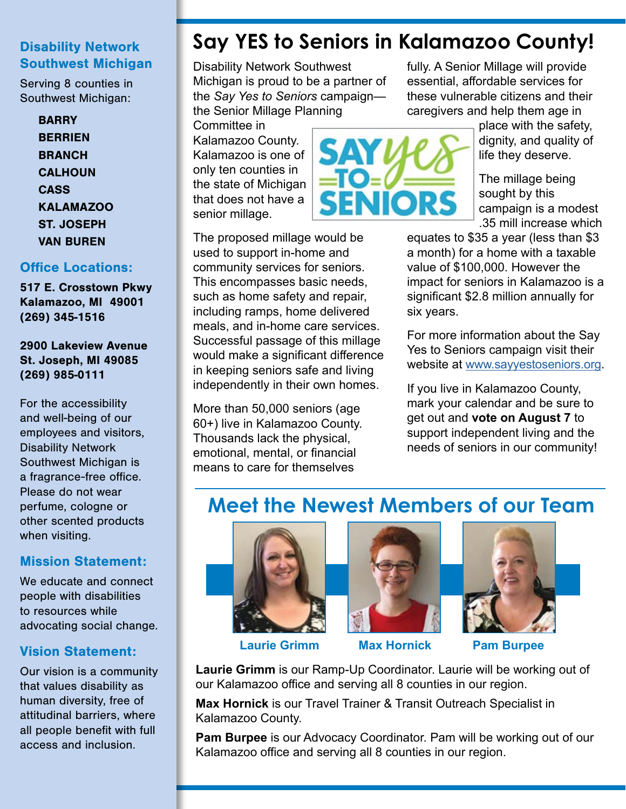#### Disability Network Southwest Michigan

Serving 8 counties in Southwest Michigan:

#### **BARRY BERRIEN BRANCH CALHOUN CASS** KALAMAZOO ST. JOSEPH VAN BUREN

#### Office Locations:

517 E. Crosstown Pkwy Kalamazoo, MI 49001 (269) 345-1516

2900 Lakeview Avenue St. Joseph, MI 49085 (269) 985-0111

For the accessibility and well-being of our employees and visitors, Disability Network Southwest Michigan is a fragrance-free office. Please do not wear perfume, cologne or other scented products when visiting.

#### Mission Statement:

We educate and connect people with disabilities to resources while advocating social change.

#### Vision Statement:

Our vision is a community that values disability as human diversity, free of attitudinal barriers, where all people benefit with full access and inclusion.

## **Say YES to Seniors in Kalamazoo County!**

Disability Network Southwest Michigan is proud to be a partner of the *Say Yes to Seniors* campaign the Senior Millage Planning

Committee in Kalamazoo County. Kalamazoo is one of only ten counties in the state of Michigan that does not have a senior millage.

The proposed millage would be used to support in-home and community services for seniors. This encompasses basic needs, such as home safety and repair, including ramps, home delivered meals, and in-home care services. Successful passage of this millage would make a significant difference in keeping seniors safe and living independently in their own homes.

More than 50,000 seniors (age 60+) live in Kalamazoo County. Thousands lack the physical, emotional, mental, or financial means to care for themselves

fully. A Senior Millage will provide essential, affordable services for these vulnerable citizens and their caregivers and help them age in

> place with the safety, dignity, and quality of life they deserve.

The millage being sought by this

campaign is a modest

**ENIORS** 

.35 mill increase which equates to \$35 a year (less than \$3 a month) for a home with a taxable value of \$100,000. However the impact for seniors in Kalamazoo is a significant \$2.8 million annually for six years.

For more information about the Say Yes to Seniors campaign visit their website at [www.sayyestoseniors.org](https://www.sayyestoseniors.org/).

If you live in Kalamazoo County, mark your calendar and be sure to get out and **vote on August 7** to support independent living and the needs of seniors in our community!

## **Meet the Newest Members of our Team**







**Laurie Grimm Max Hornick Pam Burpee**

**Laurie Grimm** is our Ramp-Up Coordinator. Laurie will be working out of our Kalamazoo office and serving all 8 counties in our region.

**Max Hornick** is our Travel Trainer & Transit Outreach Specialist in Kalamazoo County.

**Pam Burpee** is our Advocacy Coordinator. Pam will be working out of our Kalamazoo office and serving all 8 counties in our region.

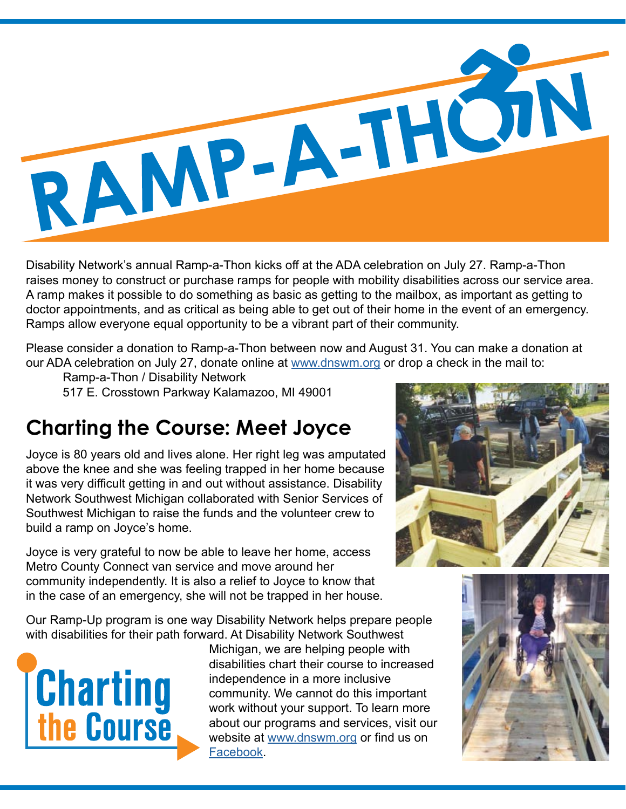

Disability Network's annual Ramp-a-Thon kicks off at the ADA celebration on July 27. Ramp-a-Thon raises money to construct or purchase ramps for people with mobility disabilities across our service area. A ramp makes it possible to do something as basic as getting to the mailbox, as important as getting to doctor appointments, and as critical as being able to get out of their home in the event of an emergency. Ramps allow everyone equal opportunity to be a vibrant part of their community.

Please consider a donation to Ramp-a-Thon between now and August 31. You can make a donation at our ADA celebration on July 27, donate online at [www.dnswm.org](http://www.dnswm.org/about-us/our-stories/) or drop a check in the mail to:

Ramp-a-Thon / Disability Network

517 E. Crosstown Parkway Kalamazoo, MI 49001

## **Charting the Course: Meet Joyce**

Joyce is 80 years old and lives alone. Her right leg was amputated above the knee and she was feeling trapped in her home because it was very difficult getting in and out without assistance. Disability Network Southwest Michigan collaborated with Senior Services of Southwest Michigan to raise the funds and the volunteer crew to build a ramp on Joyce's home.

Joyce is very grateful to now be able to leave her home, access Metro County Connect van service and move around her community independently. It is also a relief to Joyce to know that in the case of an emergency, she will not be trapped in her house.

Our Ramp-Up program is one way Disability Network helps prepare people with disabilities for their path forward. At Disability Network Southwest



Michigan, we are helping people with disabilities chart their course to increased independence in a more inclusive community. We cannot do this important work without your support. To learn more about our programs and services, visit our website at [www.dnswm.org](http://www.dnswm.org/) or find us on [Facebook](https://www.facebook.com/DNSWM/?ref=bookmarks).



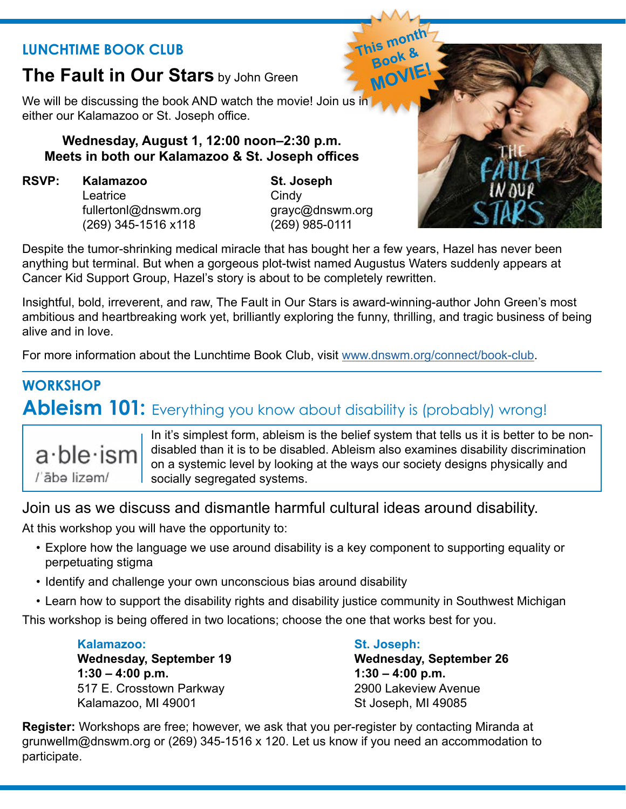#### **LUNCHTIME BOOK CLUB**

### **The Fault in Our Stars** by John Green

We will be discussing the book AND watch the movie! Join us in either our Kalamazoo or St. Joseph office.

#### **Wednesday, August 1, 12:00 noon–2:30 p.m. Meets in both our Kalamazoo & St. Joseph offices**

**RSVP: Kalamazoo St. Joseph** Leatrice Cindy (269) 345-1516 x118 (269) 985-0111

fullertonl@dnswm.org grayc@dnswm.org

Despite the tumor-shrinking medical miracle that has bought her a few years, Hazel has never been anything but terminal. But when a gorgeous plot-twist named Augustus Waters suddenly appears at Cancer Kid Support Group, Hazel's story is about to be completely rewritten.

Insightful, bold, irreverent, and raw, The Fault in Our Stars is award-winning-author John Green's most ambitious and heartbreaking work yet, brilliantly exploring the funny, thrilling, and tragic business of being alive and in love.

For more information about the Lunchtime Book Club, visit [www.dnswm.org/connect/book-club](http://www.dnswm.org/connect/book-club/).

## **WORKSHOP Ableism 101:** Everything you know about disability is (probably) wrong!



In it's simplest form, ableism is the belief system that tells us it is better to be nondisabled than it is to be disabled. Ableism also examines disability discrimination on a systemic level by looking at the ways our society designs physically and socially segregated systems.

Join us as we discuss and dismantle harmful cultural ideas around disability.

At this workshop you will have the opportunity to:

- Explore how the language we use around disability is a key component to supporting equality or perpetuating stigma
- Identify and challenge your own unconscious bias around disability
- Learn how to support the disability rights and disability justice community in Southwest Michigan

This workshop is being offered in two locations; choose the one that works best for you.

#### **Kalamazoo: St. Joseph:**

**Wednesday, September 19 Wednesday, September 26 1:30 – 4:00 p.m. 1:30 – 4:00 p.m.** 517 E. Crosstown Parkway 2900 Lakeview Avenue Kalamazoo, MI 49001 St Joseph, MI 49085

**Register:** Workshops are free; however, we ask that you per-register by contacting Miranda at grunwellm@dnswm.org or (269) 345-1516 x 120. Let us know if you need an accommodation to participate.